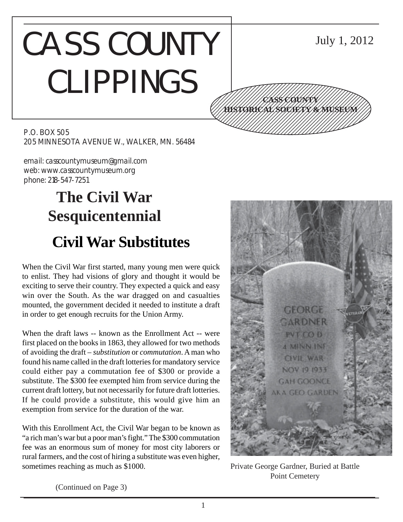## CASS COUNTY CLIPPINGS 12345678901234567890123456789012345678901234567890123456789012345678901234567890123456789012345678901234567890 12345678901234567890123456789012345678901234567890123456789012345678901234567890123456789012345678901234567890 12345678901234567890123456789012123456789012345 12345678901234567890123456789012123456789012345

July 1, 2012

12345678901234567890123456789012123456789012345 12345678901234567890123456789012123456789012345 12345678901234567890123456789012123456789012345 1234 The Territorial Contract in the Contract of the Contract of the Contract of the Contract of the Contract 12345678901234567890123456789012345678901234567890123456789012345678901234567890123456789012345678901234567890

**CASS COUNTY HISTORICAL SOCIETY & MUSEUM**

P.O. BOX 505 205 MINNESOTA AVENUE W., WALKER, MN. 56484

email: casscountymuseum@gmail.com web: www.casscountymuseum.org phone: 218-547-7251

# **The Civil War Sesquicentennial Civil War Substitutes**

When the Civil War first started, many young men were quick to enlist. They had visions of glory and thought it would be exciting to serve their country. They expected a quick and easy win over the South. As the war dragged on and casualties mounted, the government decided it needed to institute a draft in order to get enough recruits for the Union Army.

When the draft laws -- known as the Enrollment Act -- were first placed on the books in 1863, they allowed for two methods of avoiding the draft – *substitution* or *commutation*. A man who found his name called in the draft lotteries for mandatory service could either pay a commutation fee of \$300 or provide a substitute. The \$300 fee exempted him from service during the current draft lottery, but not necessarily for future draft lotteries. If he could provide a substitute, this would give him an exemption from service for the duration of the war.

With this Enrollment Act, the Civil War began to be known as "a rich man's war but a poor man's fight." The \$300 commutation fee was an enormous sum of money for most city laborers or rural farmers, and the cost of hiring a substitute was even higher, sometimes reaching as much as \$1000.



Private George Gardner, Buried at Battle Point Cemetery

(Continued on Page 3)

1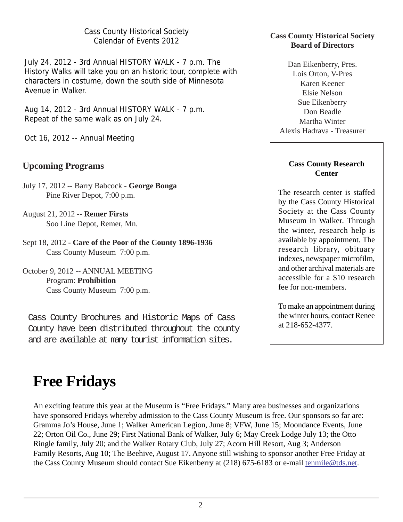Cass County Historical Society Calendar of Events 2012

July 24, 2012 - 3rd Annual HISTORY WALK - 7 p.m. The History Walks will take you on an historic tour, complete with characters in costume, down the south side of Minnesota Avenue in Walker.

Aug 14, 2012 - 3rd Annual HISTORY WALK - 7 p.m. Repeat of the same walk as on July 24.

Oct 16, 2012 -- Annual Meeting

## **Upcoming Programs**

- July 17, 2012 -- Barry Babcock **George Bonga** Pine River Depot, 7:00 p.m.
- August 21, 2012 -- **Remer Firsts** Soo Line Depot, Remer, Mn.
- Sept 18, 2012 **Care of the Poor of the County 1896-1936** Cass County Museum 7:00 p.m.

October 9, 2012 -- ANNUAL MEETING Program: **Prohibition** Cass County Museum 7:00 p.m.

Cass County Brochures and Historic Maps of Cass County have been distributed throughout the county and are available at many tourist information sites.

### **Cass County Historical Society Board of Directors**

Dan Eikenberry, Pres. Lois Orton, V-Pres Karen Keener Elsie Nelson Sue Eikenberry Don Beadle Martha Winter Alexis Hadrava - Treasurer

### **Cass County Research Center**

The research center is staffed by the Cass County Historical Society at the Cass County Museum in Walker. Through the winter, research help is available by appointment. The research library, obituary indexes, newspaper microfilm, and other archival materials are accessible for a \$10 research fee for non-members.

To make an appointment during the winter hours, contact Renee at 218-652-4377.

# **Free Fridays**

An exciting feature this year at the Museum is "Free Fridays." Many area businesses and organizations have sponsored Fridays whereby admission to the Cass County Museum is free. Our sponsors so far are: Gramma Jo's House, June 1; Walker American Legion, June 8; VFW, June 15; Moondance Events, June 22; Orton Oil Co., June 29; First National Bank of Walker, July 6; May Creek Lodge July 13; the Otto Ringle family, July 20; and the Walker Rotary Club, July 27; Acorn Hill Resort, Aug 3; Anderson Family Resorts, Aug 10; The Beehive, August 17. Anyone still wishing to sponsor another Free Friday at the Cass County Museum should contact Sue Eikenberry at (218) 675-6183 or e-mail tenmile@tds.net.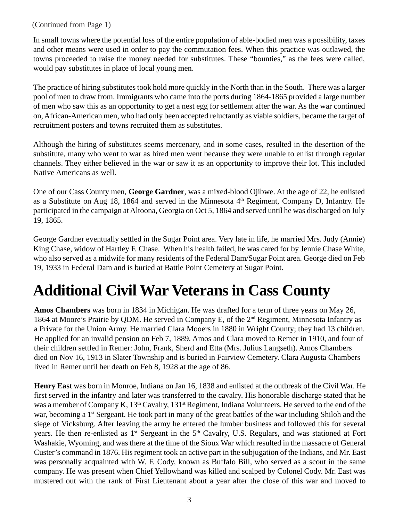### (Continued from Page 1)

In small towns where the potential loss of the entire population of able-bodied men was a possibility, taxes and other means were used in order to pay the commutation fees. When this practice was outlawed, the towns proceeded to raise the money needed for substitutes. These "bounties," as the fees were called, would pay substitutes in place of local young men.

The practice of hiring substitutes took hold more quickly in the North than in the South. There was a larger pool of men to draw from. Immigrants who came into the ports during 1864-1865 provided a large number of men who saw this as an opportunity to get a nest egg for settlement after the war. As the war continued on, African-American men, who had only been accepted reluctantly as viable soldiers, became the target of recruitment posters and towns recruited them as substitutes.

Although the hiring of substitutes seems mercenary, and in some cases, resulted in the desertion of the substitute, many who went to war as hired men went because they were unable to enlist through regular channels. They either believed in the war or saw it as an opportunity to improve their lot. This included Native Americans as well.

One of our Cass County men, **George Gardner**, was a mixed-blood Ojibwe. At the age of 22, he enlisted as a Substitute on Aug 18, 1864 and served in the Minnesota  $4<sup>th</sup>$  Regiment, Company D, Infantry. He participated in the campaign at Altoona, Georgia on Oct 5, 1864 and served until he was discharged on July 19, 1865.

George Gardner eventually settled in the Sugar Point area. Very late in life, he married Mrs. Judy (Annie) King Chase, widow of Hartley F. Chase. When his health failed, he was cared for by Jennie Chase White, who also served as a midwife for many residents of the Federal Dam/Sugar Point area. George died on Feb 19, 1933 in Federal Dam and is buried at Battle Point Cemetery at Sugar Point.

# **Additional Civil War Veterans in Cass County**

**Amos Chambers** was born in 1834 in Michigan. He was drafted for a term of three years on May 26, 1864 at Moore's Prairie by QDM. He served in Company E, of the 2nd Regiment, Minnesota Infantry as a Private for the Union Army. He married Clara Mooers in 1880 in Wright County; they had 13 children. He applied for an invalid pension on Feb 7, 1889. Amos and Clara moved to Remer in 1910, and four of their children settled in Remer: John, Frank, Sherd and Etta (Mrs. Julius Langseth). Amos Chambers died on Nov 16, 1913 in Slater Township and is buried in Fairview Cemetery. Clara Augusta Chambers lived in Remer until her death on Feb 8, 1928 at the age of 86.

**Henry East** was born in Monroe, Indiana on Jan 16, 1838 and enlisted at the outbreak of the Civil War. He first served in the infantry and later was transferred to the cavalry. His honorable discharge stated that he was a member of Company K, 13<sup>th</sup> Cavalry, 131<sup>st</sup> Regiment, Indiana Volunteers. He served to the end of the war, becoming a 1<sup>st</sup> Sergeant. He took part in many of the great battles of the war including Shiloh and the siege of Vicksburg. After leaving the army he entered the lumber business and followed this for several years. He then re-enlisted as 1<sup>st</sup> Sergeant in the 5<sup>th</sup> Cavalry, U.S. Regulars, and was stationed at Fort Washakie, Wyoming, and was there at the time of the Sioux War which resulted in the massacre of General Custer's command in 1876. His regiment took an active part in the subjugation of the Indians, and Mr. East was personally acquainted with W. F. Cody, known as Buffalo Bill, who served as a scout in the same company. He was present when Chief Yellowhand was killed and scalped by Colonel Cody. Mr. East was mustered out with the rank of First Lieutenant about a year after the close of this war and moved to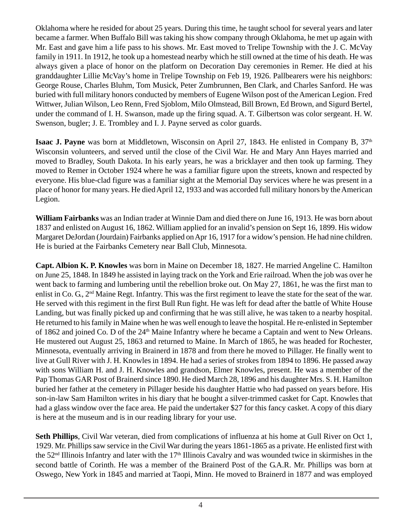Oklahoma where he resided for about 25 years. During this time, he taught school for several years and later became a farmer. When Buffalo Bill was taking his show company through Oklahoma, he met up again with Mr. East and gave him a life pass to his shows. Mr. East moved to Trelipe Township with the J. C. McVay family in 1911. In 1912, he took up a homestead nearby which he still owned at the time of his death. He was always given a place of honor on the platform on Decoration Day ceremonies in Remer. He died at his granddaughter Lillie McVay's home in Trelipe Township on Feb 19, 1926. Pallbearers were his neighbors: George Rouse, Charles Bluhm, Tom Musick, Peter Zumbrunnen, Ben Clark, and Charles Sanford. He was buried with full military honors conducted by members of Eugene Wilson post of the American Legion. Fred Wittwer, Julian Wilson, Leo Renn, Fred Sjoblom, Milo Olmstead, Bill Brown, Ed Brown, and Sigurd Bertel, under the command of I. H. Swanson, made up the firing squad. A. T. Gilbertson was color sergeant. H. W. Swenson, bugler; J. E. Trombley and I. J. Payne served as color guards.

**Isaac J. Payne** was born at Middletown, Wisconsin on April 27, 1843. He enlisted in Company B, 37<sup>th</sup> Wisconsin volunteers, and served until the close of the Civil War. He and Mary Ann Hayes married and moved to Bradley, South Dakota. In his early years, he was a bricklayer and then took up farming. They moved to Remer in October 1924 where he was a familiar figure upon the streets, known and respected by everyone. His blue-clad figure was a familiar sight at the Memorial Day services where he was present in a place of honor for many years. He died April 12, 1933 and was accorded full military honors by the American Legion.

**William Fairbanks** was an Indian trader at Winnie Dam and died there on June 16, 1913. He was born about 1837 and enlisted on August 16, 1862. William applied for an invalid's pension on Sept 16, 1899. His widow Margaret DeJordan (Jourdain) Fairbanks applied on Apr 16, 1917 for a widow's pension. He had nine children. He is buried at the Fairbanks Cemetery near Ball Club, Minnesota.

**Capt. Albion K. P. Knowles** was born in Maine on December 18, 1827. He married Angeline C. Hamilton on June 25, 1848. In 1849 he assisted in laying track on the York and Erie railroad. When the job was over he went back to farming and lumbering until the rebellion broke out. On May 27, 1861, he was the first man to enlist in Co. G., 2<sup>nd</sup> Maine Regt. Infantry. This was the first regiment to leave the state for the seat of the war. He served with this regiment in the first Bull Run fight. He was left for dead after the battle of White House Landing, but was finally picked up and confirming that he was still alive, he was taken to a nearby hospital. He returned to his family in Maine when he was well enough to leave the hospital. He re-enlisted in September of 1862 and joined Co. D of the 24<sup>th</sup> Maine Infantry where he became a Captain and went to New Orleans. He mustered out August 25, 1863 and returned to Maine. In March of 1865, he was headed for Rochester, Minnesota, eventually arriving in Brainerd in 1878 and from there he moved to Pillager. He finally went to live at Gull River with J. H. Knowles in 1894. He had a series of strokes from 1894 to 1896. He passed away with sons William H. and J. H. Knowles and grandson, Elmer Knowles, present. He was a member of the Pap Thomas GAR Post of Brainerd since 1890. He died March 28, 1896 and his daughter Mrs. S. H. Hamilton buried her father at the cemetery in Pillager beside his daughter Hattie who had passed on years before. His son-in-law Sam Hamilton writes in his diary that he bought a silver-trimmed casket for Capt. Knowles that had a glass window over the face area. He paid the undertaker \$27 for this fancy casket. A copy of this diary is here at the museum and is in our reading library for your use.

**Seth Phillips**, Civil War veteran, died from complications of influenza at his home at Gull River on Oct 1, 1929. Mr. Phillips saw service in the Civil War during the years 1861-1865 as a private. He enlisted first with the 52nd Illinois Infantry and later with the 17th Illinois Cavalry and was wounded twice in skirmishes in the second battle of Corinth. He was a member of the Brainerd Post of the G.A.R. Mr. Phillips was born at Oswego, New York in 1845 and married at Taopi, Minn. He moved to Brainerd in 1877 and was employed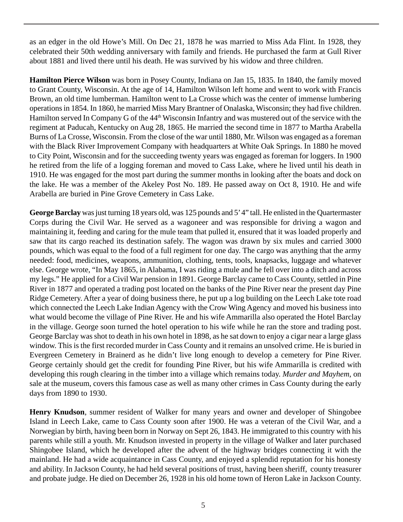as an edger in the old Howe's Mill. On Dec 21, 1878 he was married to Miss Ada Flint. In 1928, they celebrated their 50th wedding anniversary with family and friends. He purchased the farm at Gull River about 1881 and lived there until his death. He was survived by his widow and three children.

**Hamilton Pierce Wilson** was born in Posey County, Indiana on Jan 15, 1835. In 1840, the family moved to Grant County, Wisconsin. At the age of 14, Hamilton Wilson left home and went to work with Francis Brown, an old time lumberman. Hamilton went to La Crosse which was the center of immense lumbering operations in 1854. In 1860, he married Miss Mary Brantner of Onalaska, Wisconsin; they had five children. Hamilton served In Company G of the 44<sup>th</sup> Wisconsin Infantry and was mustered out of the service with the regiment at Paducah, Kentucky on Aug 28, 1865. He married the second time in 1877 to Martha Arabella Burns of La Crosse, Wisconsin. From the close of the war until 1880, Mr. Wilson was engaged as a foreman with the Black River Improvement Company with headquarters at White Oak Springs. In 1880 he moved to City Point, Wisconsin and for the succeeding twenty years was engaged as foreman for loggers. In 1900 he retired from the life of a logging foreman and moved to Cass Lake, where he lived until his death in 1910. He was engaged for the most part during the summer months in looking after the boats and dock on the lake. He was a member of the Akeley Post No. 189. He passed away on Oct 8, 1910. He and wife Arabella are buried in Pine Grove Cemetery in Cass Lake.

**George Barclay** was just turning 18 years old, was 125 pounds and 5' 4" tall. He enlisted in the Quartermaster Corps during the Civil War. He served as a wagoneer and was responsible for driving a wagon and maintaining it, feeding and caring for the mule team that pulled it, ensured that it was loaded properly and saw that its cargo reached its destination safely. The wagon was drawn by six mules and carried 3000 pounds, which was equal to the food of a full regiment for one day. The cargo was anything that the army needed: food, medicines, weapons, ammunition, clothing, tents, tools, knapsacks, luggage and whatever else. George wrote, "In May 1865, in Alabama, I was riding a mule and he fell over into a ditch and across my legs." He applied for a Civil War pension in 1891. George Barclay came to Cass County, settled in Pine River in 1877 and operated a trading post located on the banks of the Pine River near the present day Pine Ridge Cemetery. After a year of doing business there, he put up a log building on the Leech Lake tote road which connected the Leech Lake Indian Agency with the Crow Wing Agency and moved his business into what would become the village of Pine River. He and his wife Ammarilla also operated the Hotel Barclay in the village. George soon turned the hotel operation to his wife while he ran the store and trading post. George Barclay was shot to death in his own hotel in 1898, as he sat down to enjoy a cigar near a large glass window. This is the first recorded murder in Cass County and it remains an unsolved crime. He is buried in Evergreen Cemetery in Brainerd as he didn't live long enough to develop a cemetery for Pine River. George certainly should get the credit for founding Pine River, but his wife Ammarilla is credited with developing this rough clearing in the timber into a village which remains today. *Murder and Mayhem*, on sale at the museum, covers this famous case as well as many other crimes in Cass County during the early days from 1890 to 1930.

**Henry Knudson**, summer resident of Walker for many years and owner and developer of Shingobee Island in Leech Lake, came to Cass County soon after 1900. He was a veteran of the Civil War, and a Norwegian by birth, having been born in Norway on Sept 26, 1843. He immigrated to this country with his parents while still a youth. Mr. Knudson invested in property in the village of Walker and later purchased Shingobee Island, which he developed after the advent of the highway bridges connecting it with the mainland. He had a wide acquaintance in Cass County, and enjoyed a splendid reputation for his honesty and ability. In Jackson County, he had held several positions of trust, having been sheriff, county treasurer and probate judge. He died on December 26, 1928 in his old home town of Heron Lake in Jackson County.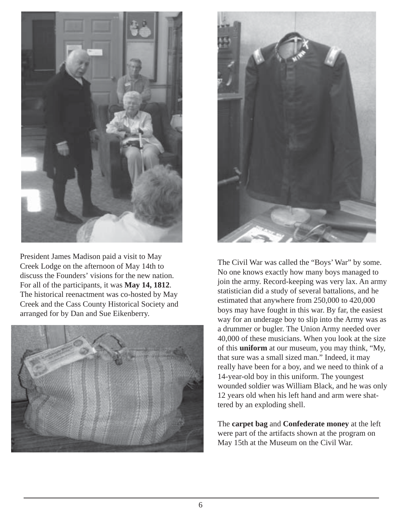

President James Madison paid a visit to May Creek Lodge on the afternoon of May 14th to discuss the Founders' visions for the new nation. For all of the participants, it was **May 14, 1812**. The historical reenactment was co-hosted by May Creek and the Cass County Historical Society and arranged for by Dan and Sue Eikenberry.





The Civil War was called the "Boys' War" by some. No one knows exactly how many boys managed to join the army. Record-keeping was very lax. An army statistician did a study of several battalions, and he estimated that anywhere from 250,000 to 420,000 boys may have fought in this war. By far, the easiest way for an underage boy to slip into the Army was as a drummer or bugler. The Union Army needed over 40,000 of these musicians. When you look at the size of this **uniform** at our museum, you may think, "My, that sure was a small sized man." Indeed, it may really have been for a boy, and we need to think of a 14-year-old boy in this uniform. The youngest wounded soldier was William Black, and he was only 12 years old when his left hand and arm were shattered by an exploding shell.

The **carpet bag** and **Confederate money** at the left were part of the artifacts shown at the program on May 15th at the Museum on the Civil War.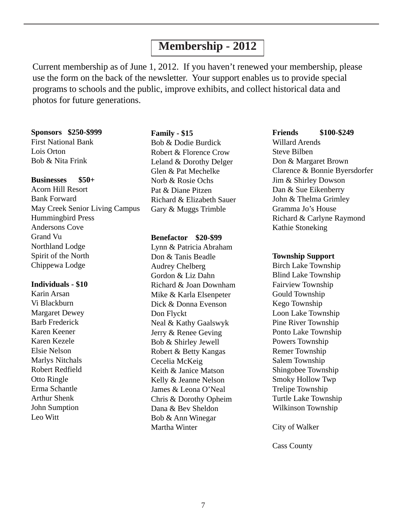# **Membership - 2012**

Current membership as of June 1, 2012. If you haven't renewed your membership, please use the form on the back of the newsletter. Your support enables us to provide special programs to schools and the public, improve exhibits, and collect historical data and photos for future generations.

#### **Sponsors \$250-\$999**

First National Bank Lois Orton Bob & Nita Frink

#### **Businesses \$50+**

Acorn Hill Resort Bank Forward May Creek Senior Living Campus Hummingbird Press Andersons Cove Grand Vu Northland Lodge Spirit of the North Chippewa Lodge

#### **Individuals - \$10**

Karin Arsan Vi Blackburn Margaret Dewey Barb Frederick Karen Keener Karen Kezele Elsie Nelson Marlys Nitchals Robert Redfield Otto Ringle Erma Schantle Arthur Shenk John Sumption Leo Witt

#### **Family - \$15**

Bob & Dodie Burdick Robert & Florence Crow Leland & Dorothy Delger Glen & Pat Mechelke Norb & Rosie Ochs Pat & Diane Pitzen Richard & Elizabeth Sauer Gary & Muggs Trimble

#### **Benefactor \$20-\$99**

Lynn & Patricia Abraham Don & Tanis Beadle Audrey Chelberg Gordon & Liz Dahn Richard & Joan Downham Mike & Karla Elsenpeter Dick & Donna Evenson Don Flyckt Neal & Kathy Gaalswyk Jerry & Renee Geving Bob & Shirley Jewell Robert & Betty Kangas Cecelia McKeig Keith & Janice Matson Kelly & Jeanne Nelson James & Leona O'Neal Chris & Dorothy Opheim Dana & Bev Sheldon Bob & Ann Winegar Martha Winter

#### **Friends \$100-\$249**

Willard Arends Steve Bilben Don & Margaret Brown Clarence & Bonnie Byersdorfer Jim & Shirley Dowson Dan & Sue Eikenberry John & Thelma Grimley Gramma Jo's House Richard & Carlyne Raymond Kathie Stoneking

#### **Township Support**

Birch Lake Township Blind Lake Township Fairview Township Gould Township Kego Township Loon Lake Township Pine River Township Ponto Lake Township Powers Township Remer Township Salem Township Shingobee Township Smoky Hollow Twp Trelipe Township Turtle Lake Township Wilkinson Township

City of Walker

Cass County